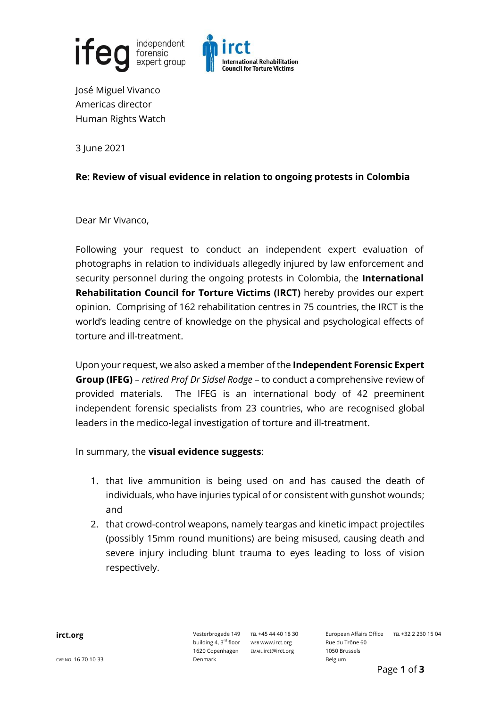



José Miguel Vivanco Americas director Human Rights Watch

3 June 2021

## **Re: Review of visual evidence in relation to ongoing protests in Colombia**

Dear Mr Vivanco,

Following your request to conduct an independent expert evaluation of photographs in relation to individuals allegedly injured by law enforcement and security personnel during the ongoing protests in Colombia, the **International Rehabilitation Council for Torture Victims (IRCT)** hereby provides our expert opinion. Comprising of 162 rehabilitation centres in 75 countries, the IRCT is the world's leading centre of knowledge on the physical and psychological effects of torture and ill-treatment.

Upon your request, we also asked a member of the **Independent Forensic Expert Group (IFEG)** – *retired Prof Dr Sidsel Rodge* – to conduct a comprehensive review of provided materials. The IFEG is an international body of 42 preeminent independent forensic specialists from 23 countries, who are recognised global leaders in the medico-legal investigation of torture and ill-treatment.

In summary, the **visual evidence suggests**:

- 1. that live ammunition is being used on and has caused the death of individuals, who have injuries typical of or consistent with gunshot wounds; and
- 2. that crowd-control weapons, namely teargas and kinetic impact projectiles (possibly 15mm round munitions) are being misused, causing death and severe injury including blunt trauma to eyes leading to loss of vision respectively.

**irct.org** Vesterbrogade 149 TEL +45 44 40 18 30 building 4, 3<sup>rd</sup> floor wEB www.irct.org 1620 Copenhagen EMAIL irct@irct.org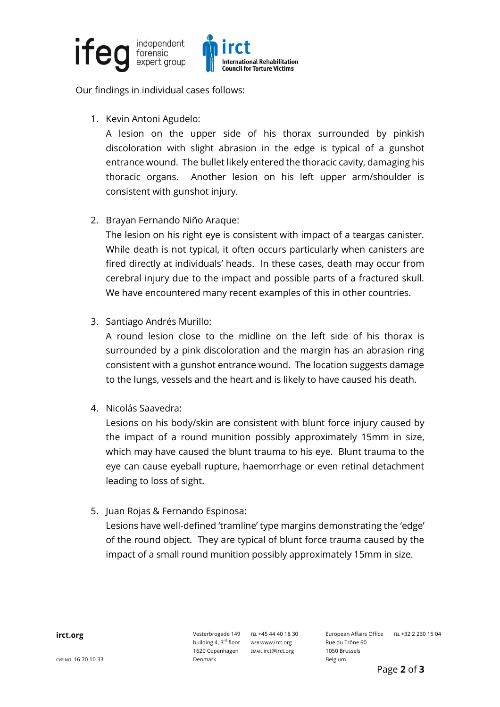

Our findings in individual cases follows:

1. Kevin Antoni Agudelo:

A lesion on the upper side of his thorax surrounded by pinkish discoloration with slight abrasion in the edge is typical of a gunshot entrance wound. The bullet likely entered the thoracic cavity, damaging his thoracic organs. Another lesion on his left upper arm/shoulder is consistent with gunshot injury.

2. Brayan Fernando Niño Araque:

The lesion on his right eye is consistent with impact of a teargas canister. While death is not typical, it often occurs particularly when canisters are fired directly at individuals' heads. In these cases, death may occur from cerebral injury due to the impact and possible parts of a fractured skull. We have encountered many recent examples of this in other countries.

3. Santiago Andrés Murillo:

A round lesion close to the midline on the left side of his thorax is surrounded by a pink discoloration and the margin has an abrasion ring consistent with a gunshot entrance wound. The location suggests damage to the lungs, vessels and the heart and is likely to have caused his death.

4. Nicolás Saavedra:

Lesions on his body/skin are consistent with blunt force injury caused by the impact of a round munition possibly approximately 15mm in size, which may have caused the blunt trauma to his eye. Blunt trauma to the eye can cause eyeball rupture, haemorrhage or even retinal detachment leading to loss of sight.

5. Juan Rojas & Fernando Espinosa:

Lesions have well-defined 'tramline' type margins demonstrating the 'edge' of the round object. They are typical of blunt force trauma caused by the impact of a small round munition possibly approximately 15mm in size.